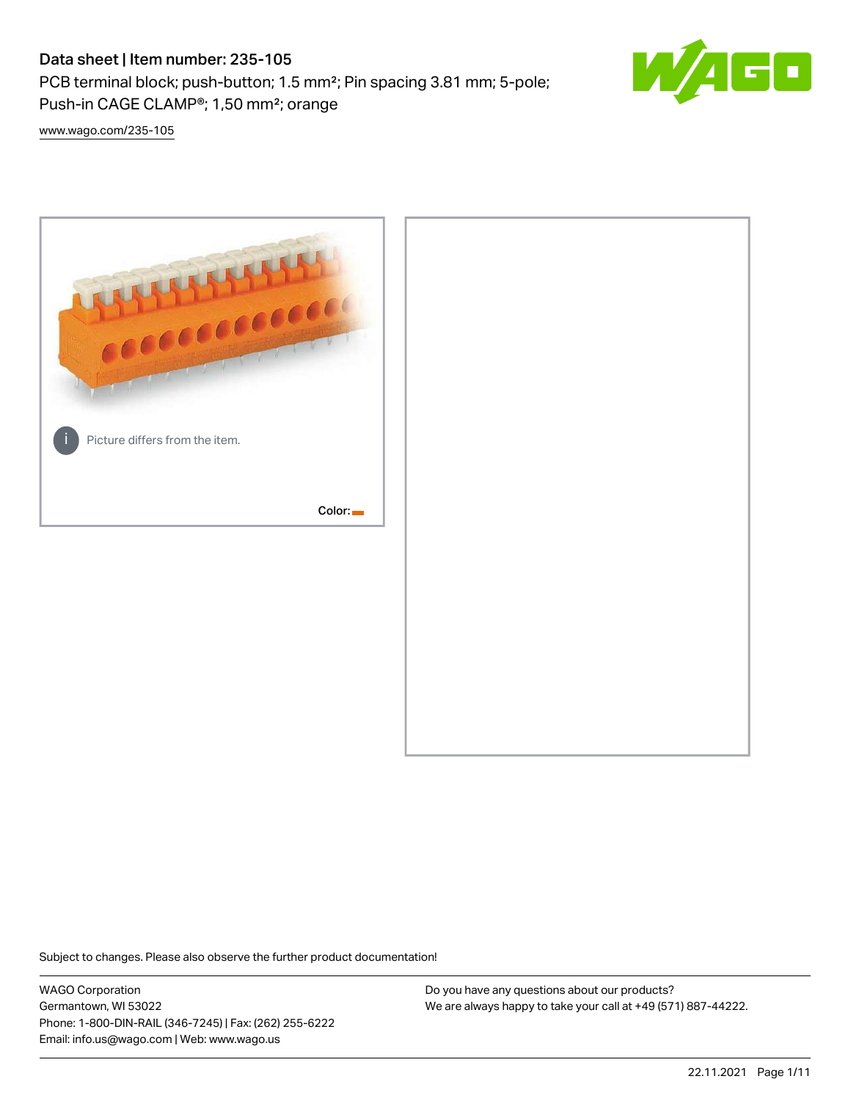# Data sheet | Item number: 235-105

PCB terminal block; push-button; 1.5 mm²; Pin spacing 3.81 mm; 5-pole; Push-in CAGE CLAMP®; 1,50 mm²; orange



[www.wago.com/235-105](http://www.wago.com/235-105)



Subject to changes. Please also observe the further product documentation!

WAGO Corporation Germantown, WI 53022 Phone: 1-800-DIN-RAIL (346-7245) | Fax: (262) 255-6222 Email: info.us@wago.com | Web: www.wago.us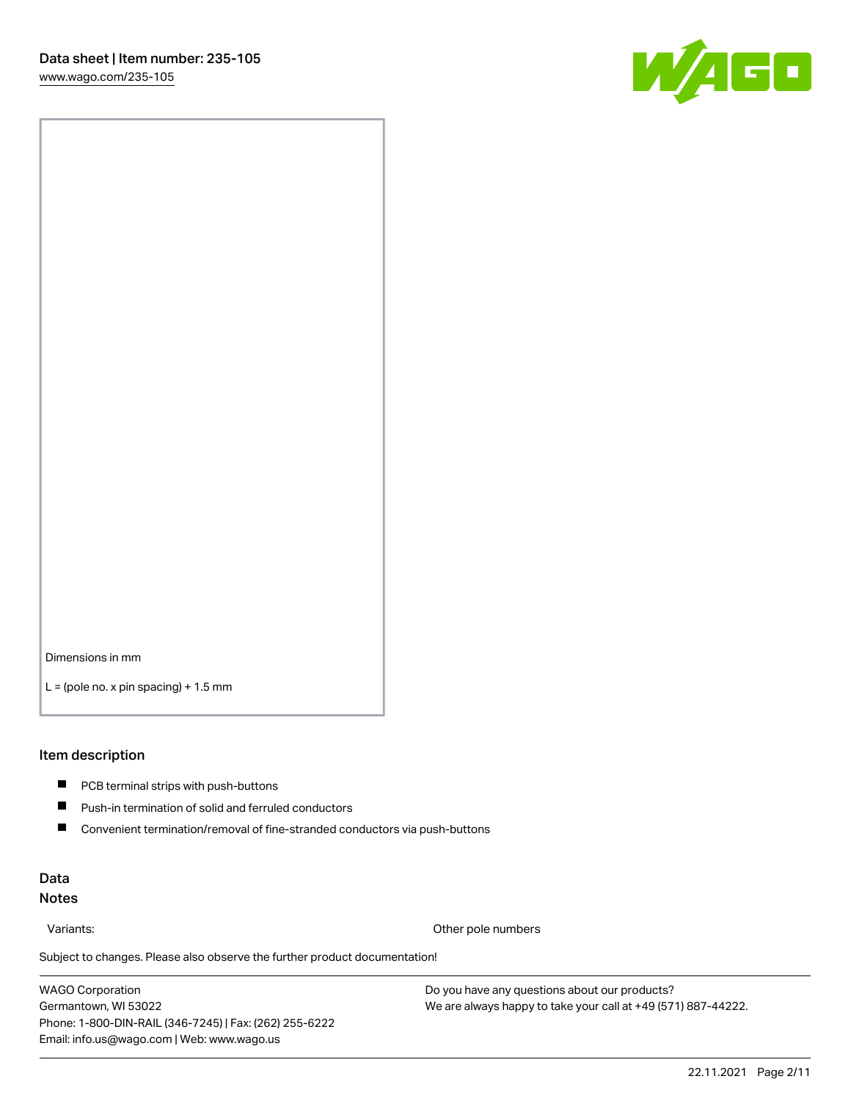

Dimensions in mm

 $L =$  (pole no. x pin spacing) + 1.5 mm

#### Item description

- **PCB terminal strips with push-buttons**
- $\blacksquare$ Push-in termination of solid and ferruled conductors
- $\blacksquare$ Convenient termination/removal of fine-stranded conductors via push-buttons

### Data Notes

Variants: Other pole numbers

Subject to changes. Please also observe the further product documentation! Other colors

WAGO Corporation Germantown, WI 53022 Phone: 1-800-DIN-RAIL (346-7245) | Fax: (262) 255-6222 Email: info.us@wago.com | Web: www.wago.us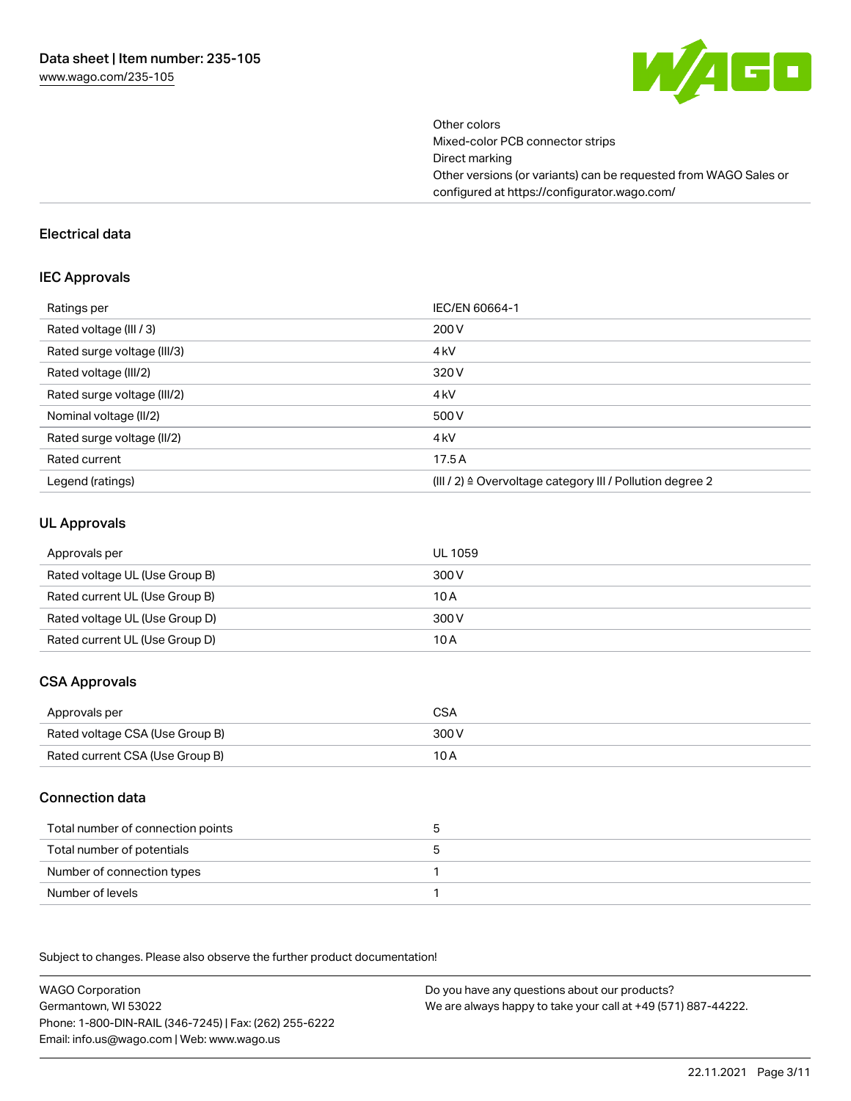

Other colors Mixed-color PCB connector strips Direct marking Other versions (or variants) can be requested from WAGO Sales or configured at https://configurator.wago.com/

#### Electrical data

#### IEC Approvals

| Ratings per                 | IEC/EN 60664-1                                                        |
|-----------------------------|-----------------------------------------------------------------------|
| Rated voltage (III / 3)     | 200 V                                                                 |
| Rated surge voltage (III/3) | 4 <sub>k</sub> V                                                      |
| Rated voltage (III/2)       | 320 V                                                                 |
| Rated surge voltage (III/2) | 4 <sub>k</sub> V                                                      |
| Nominal voltage (II/2)      | 500 V                                                                 |
| Rated surge voltage (II/2)  | 4 <sub>k</sub> V                                                      |
| Rated current               | 17.5A                                                                 |
| Legend (ratings)            | $(III / 2)$ $\triangle$ Overvoltage category III / Pollution degree 2 |

#### UL Approvals

| Approvals per                  | UL 1059 |
|--------------------------------|---------|
| Rated voltage UL (Use Group B) | 300 V   |
| Rated current UL (Use Group B) | 10 A    |
| Rated voltage UL (Use Group D) | 300 V   |
| Rated current UL (Use Group D) | 10 A    |

### CSA Approvals

| Approvals per                   | CSA   |
|---------------------------------|-------|
| Rated voltage CSA (Use Group B) | 300 V |
| Rated current CSA (Use Group B) | 10 A  |

### Connection data

| Total number of connection points |  |
|-----------------------------------|--|
| Total number of potentials        |  |
| Number of connection types        |  |
| Number of levels                  |  |

.<br>Subject to changes. Please also observe the further product documentation!

WAGO Corporation Germantown, WI 53022 Phone: 1-800-DIN-RAIL (346-7245) | Fax: (262) 255-6222 Email: info.us@wago.com | Web: www.wago.us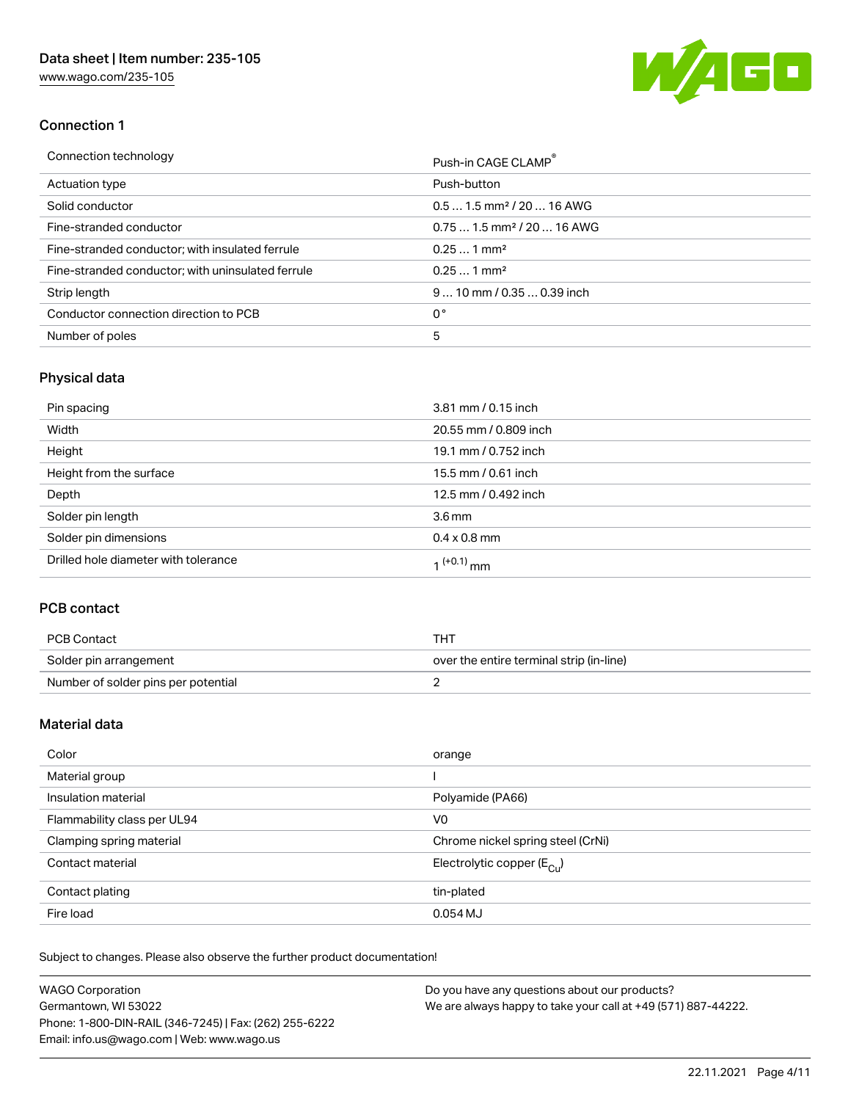[www.wago.com/235-105](http://www.wago.com/235-105)



### Connection 1

| Connection technology                             | Push-in CAGE CLAMP®                    |
|---------------------------------------------------|----------------------------------------|
| Actuation type                                    | Push-button                            |
| Solid conductor                                   | $0.51.5$ mm <sup>2</sup> / 20  16 AWG  |
| Fine-stranded conductor                           | $0.751.5$ mm <sup>2</sup> / 20  16 AWG |
| Fine-stranded conductor; with insulated ferrule   | $0.251$ mm <sup>2</sup>                |
| Fine-stranded conductor; with uninsulated ferrule | $0.251$ mm <sup>2</sup>                |
| Strip length                                      | $910$ mm $/0.350.39$ inch              |
| Conductor connection direction to PCB             | 0°                                     |
| Number of poles                                   | 5                                      |

# Physical data

| Pin spacing                          | 3.81 mm / 0.15 inch    |
|--------------------------------------|------------------------|
| Width                                | 20.55 mm / 0.809 inch  |
| Height                               | 19.1 mm / 0.752 inch   |
| Height from the surface              | 15.5 mm / 0.61 inch    |
| Depth                                | 12.5 mm / 0.492 inch   |
| Solder pin length                    | 3.6 <sub>mm</sub>      |
| Solder pin dimensions                | $0.4 \times 0.8$ mm    |
| Drilled hole diameter with tolerance | 1 <sup>(+0.1)</sup> mm |

### PCB contact

| PCB Contact                         | тнт                                      |
|-------------------------------------|------------------------------------------|
| Solder pin arrangement              | over the entire terminal strip (in-line) |
| Number of solder pins per potential |                                          |

### Material data

| Color                       | orange                                |
|-----------------------------|---------------------------------------|
| Material group              |                                       |
| Insulation material         | Polyamide (PA66)                      |
| Flammability class per UL94 | V0                                    |
| Clamping spring material    | Chrome nickel spring steel (CrNi)     |
| Contact material            | Electrolytic copper $(E_{\text{CL}})$ |
| Contact plating             | tin-plated                            |
| Fire load                   | $0.054$ MJ                            |

Subject to changes. Please also observe the further product documentation!

| <b>WAGO Corporation</b>                                | Do you have any questions about our products?                 |
|--------------------------------------------------------|---------------------------------------------------------------|
| Germantown, WI 53022                                   | We are always happy to take your call at +49 (571) 887-44222. |
| Phone: 1-800-DIN-RAIL (346-7245)   Fax: (262) 255-6222 |                                                               |
| Email: info.us@wago.com   Web: www.wago.us             |                                                               |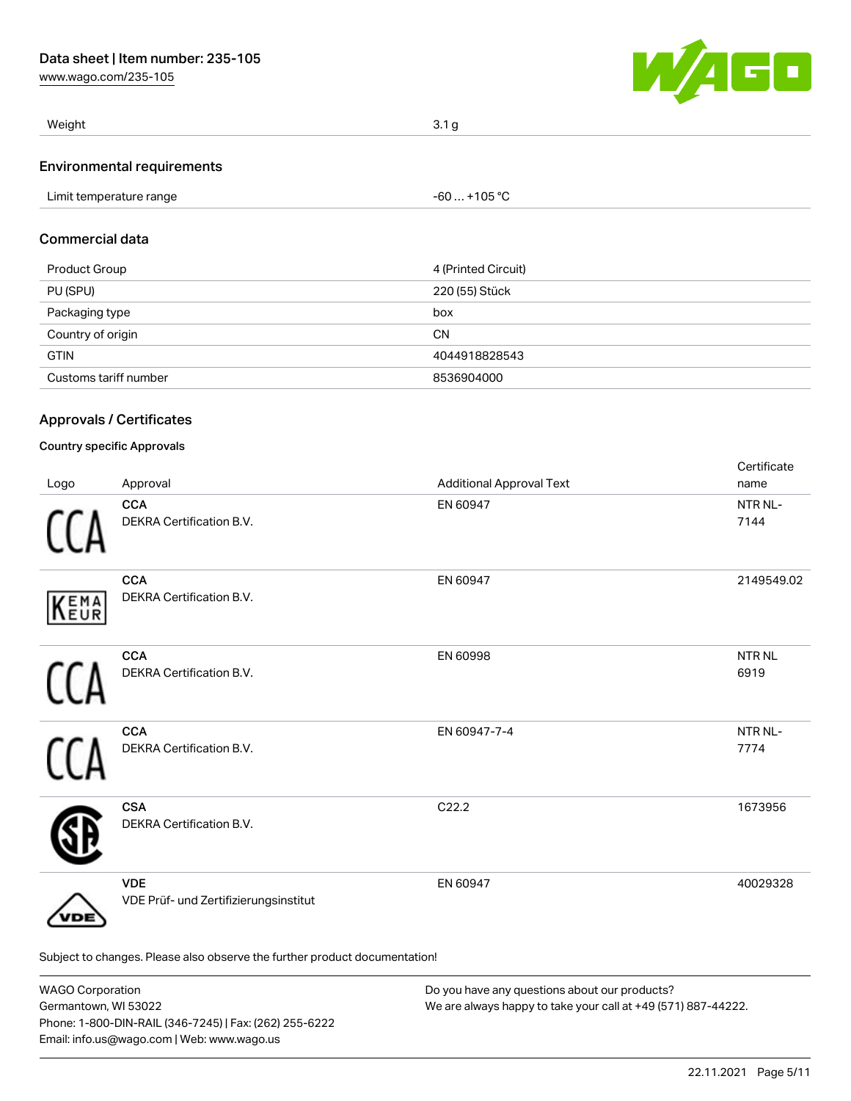[www.wago.com/235-105](http://www.wago.com/235-105)



| Weight                            | 3.1 <sub>g</sub> |
|-----------------------------------|------------------|
| <b>Environmental requirements</b> |                  |

| Limit temperature range | $-60+105 °C$ |
|-------------------------|--------------|
|                         |              |

### Commercial data

| Product Group         | 4 (Printed Circuit) |
|-----------------------|---------------------|
| PU (SPU)              | 220 (55) Stück      |
| Packaging type        | box                 |
| Country of origin     | <b>CN</b>           |
| <b>GTIN</b>           | 4044918828543       |
| Customs tariff number | 8536904000          |

### Approvals / Certificates

### Country specific Approvals

| Logo | Approval                                                                   | <b>Additional Approval Text</b> | Certificate<br>name   |
|------|----------------------------------------------------------------------------|---------------------------------|-----------------------|
|      | <b>CCA</b><br>DEKRA Certification B.V.                                     | EN 60947                        | NTR NL-<br>7144       |
| KEMA | <b>CCA</b><br>DEKRA Certification B.V.                                     | EN 60947                        | 2149549.02            |
|      | <b>CCA</b><br>DEKRA Certification B.V.                                     | EN 60998                        | <b>NTR NL</b><br>6919 |
|      | <b>CCA</b><br>DEKRA Certification B.V.                                     | EN 60947-7-4                    | NTR NL-<br>7774       |
|      | <b>CSA</b><br>DEKRA Certification B.V.                                     | C22.2                           | 1673956               |
| DЕ   | <b>VDE</b><br>VDE Prüf- und Zertifizierungsinstitut                        | EN 60947                        | 40029328              |
|      | Subject to changes. Please also observe the further product documentation! |                                 |                       |

| <b>WAGO Corporation</b>                                | Do you have any questions about our products?                 |  |
|--------------------------------------------------------|---------------------------------------------------------------|--|
| Germantown, WI 53022                                   | We are always happy to take your call at +49 (571) 887-44222. |  |
| Phone: 1-800-DIN-RAIL (346-7245)   Fax: (262) 255-6222 |                                                               |  |
| Email: info.us@wago.com   Web: www.wago.us             |                                                               |  |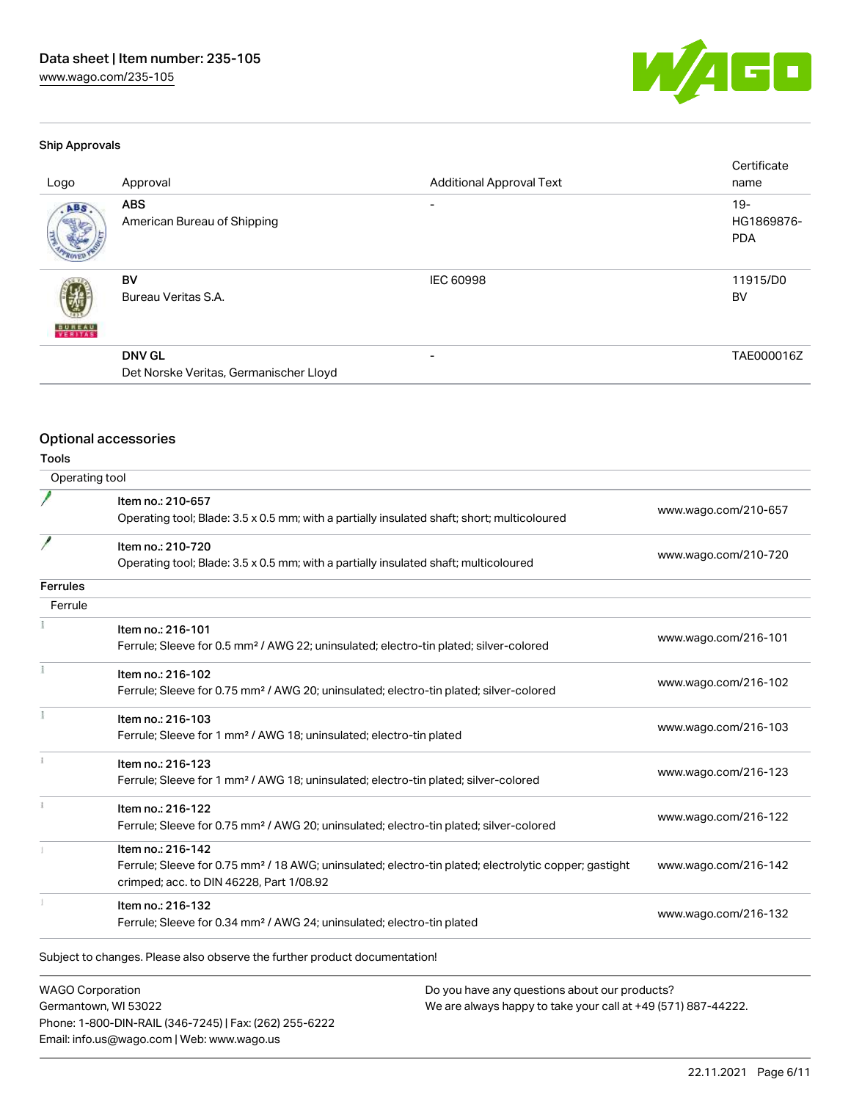[www.wago.com/235-105](http://www.wago.com/235-105)



#### Ship Approvals

| Logo                     | Approval                                                | <b>Additional Approval Text</b> | Certificate<br>name                |
|--------------------------|---------------------------------------------------------|---------------------------------|------------------------------------|
| ABS                      | <b>ABS</b><br>American Bureau of Shipping               |                                 | $19 -$<br>HG1869876-<br><b>PDA</b> |
| <b>BUREAU</b><br>VERITAS | BV<br>Bureau Veritas S.A.                               | <b>IEC 60998</b>                | 11915/D0<br>BV                     |
|                          | <b>DNV GL</b><br>Det Norske Veritas, Germanischer Lloyd | -                               | TAE000016Z                         |

# Optional accessories

Phone: 1-800-DIN-RAIL (346-7245) | Fax: (262) 255-6222

Email: info.us@wago.com | Web: www.wago.us

Tools

| Operating tool          |                                                                                                                                                                                    |                                                               |                      |  |
|-------------------------|------------------------------------------------------------------------------------------------------------------------------------------------------------------------------------|---------------------------------------------------------------|----------------------|--|
|                         | Item no.: 210-657<br>Operating tool; Blade: 3.5 x 0.5 mm; with a partially insulated shaft; short; multicoloured                                                                   |                                                               | www.wago.com/210-657 |  |
| 1                       | Item no.: 210-720<br>Operating tool; Blade: 3.5 x 0.5 mm; with a partially insulated shaft; multicoloured                                                                          |                                                               | www.wago.com/210-720 |  |
| Ferrules                |                                                                                                                                                                                    |                                                               |                      |  |
| Ferrule                 |                                                                                                                                                                                    |                                                               |                      |  |
|                         | Item no.: 216-101<br>Ferrule; Sleeve for 0.5 mm <sup>2</sup> / AWG 22; uninsulated; electro-tin plated; silver-colored                                                             |                                                               | www.wago.com/216-101 |  |
|                         | Item no.: 216-102<br>Ferrule; Sleeve for 0.75 mm <sup>2</sup> / AWG 20; uninsulated; electro-tin plated; silver-colored                                                            |                                                               | www.wago.com/216-102 |  |
|                         | Item no.: 216-103<br>Ferrule; Sleeve for 1 mm <sup>2</sup> / AWG 18; uninsulated; electro-tin plated                                                                               |                                                               | www.wago.com/216-103 |  |
|                         | Item no.: 216-123<br>Ferrule; Sleeve for 1 mm <sup>2</sup> / AWG 18; uninsulated; electro-tin plated; silver-colored                                                               |                                                               | www.wago.com/216-123 |  |
|                         | Item no.: 216-122<br>Ferrule; Sleeve for 0.75 mm <sup>2</sup> / AWG 20; uninsulated; electro-tin plated; silver-colored                                                            |                                                               | www.wago.com/216-122 |  |
|                         | Item no.: 216-142<br>Ferrule; Sleeve for 0.75 mm <sup>2</sup> / 18 AWG; uninsulated; electro-tin plated; electrolytic copper; gastight<br>crimped; acc. to DIN 46228, Part 1/08.92 |                                                               | www.wago.com/216-142 |  |
|                         | Item no.: 216-132<br>Ferrule; Sleeve for 0.34 mm <sup>2</sup> / AWG 24; uninsulated; electro-tin plated                                                                            |                                                               | www.wago.com/216-132 |  |
|                         | Subject to changes. Please also observe the further product documentation!                                                                                                         |                                                               |                      |  |
| <b>WAGO Corporation</b> |                                                                                                                                                                                    | Do you have any questions about our products?                 |                      |  |
| Germantown, WI 53022    |                                                                                                                                                                                    | We are always happy to take your call at +49 (571) 887-44222. |                      |  |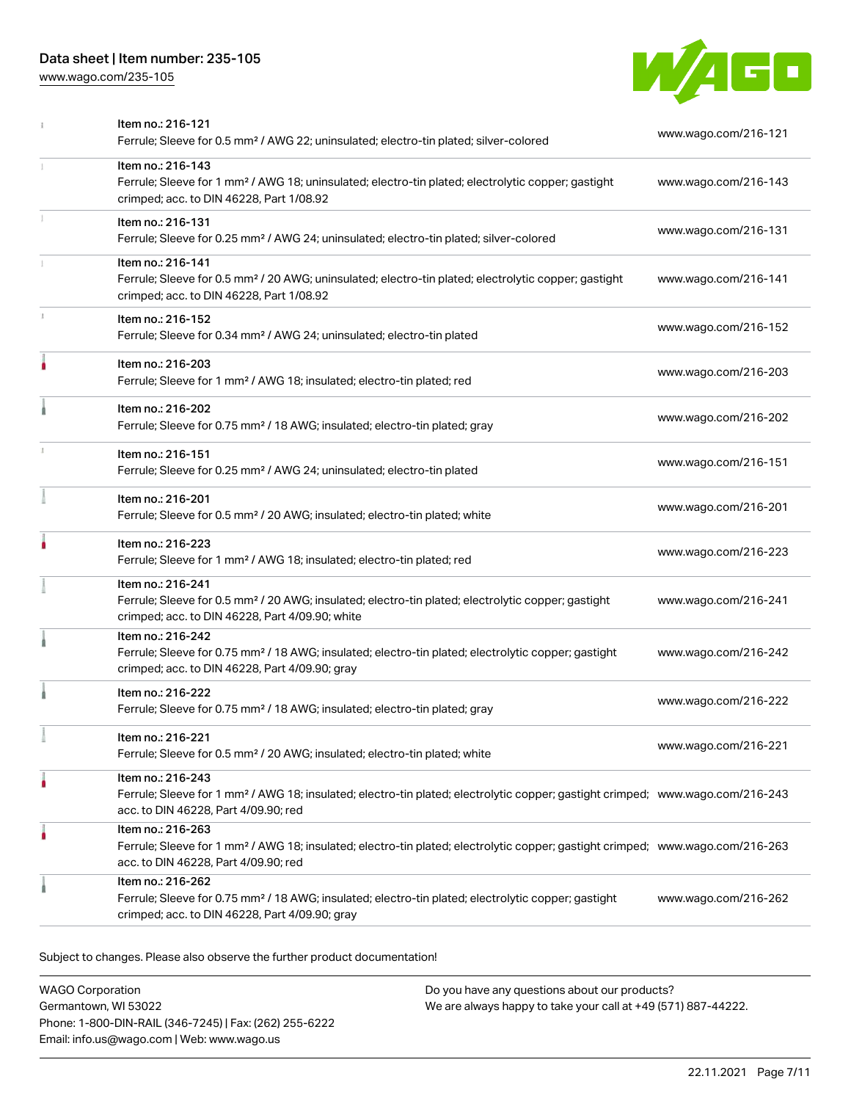### Data sheet | Item number: 235-105

[www.wago.com/235-105](http://www.wago.com/235-105)



|   | Item no.: 216-121<br>Ferrule; Sleeve for 0.5 mm <sup>2</sup> / AWG 22; uninsulated; electro-tin plated; silver-colored                                                                                  | www.wago.com/216-121 |
|---|---------------------------------------------------------------------------------------------------------------------------------------------------------------------------------------------------------|----------------------|
| 1 | Item no.: 216-143<br>Ferrule; Sleeve for 1 mm <sup>2</sup> / AWG 18; uninsulated; electro-tin plated; electrolytic copper; gastight<br>crimped; acc. to DIN 46228, Part 1/08.92                         | www.wago.com/216-143 |
|   | Item no.: 216-131<br>Ferrule; Sleeve for 0.25 mm <sup>2</sup> / AWG 24; uninsulated; electro-tin plated; silver-colored                                                                                 | www.wago.com/216-131 |
|   | Item no.: 216-141<br>Ferrule; Sleeve for 0.5 mm <sup>2</sup> / 20 AWG; uninsulated; electro-tin plated; electrolytic copper; gastight<br>crimped; acc. to DIN 46228, Part 1/08.92                       | www.wago.com/216-141 |
|   | Item no.: 216-152<br>Ferrule; Sleeve for 0.34 mm <sup>2</sup> / AWG 24; uninsulated; electro-tin plated                                                                                                 | www.wago.com/216-152 |
|   | Item no.: 216-203<br>Ferrule; Sleeve for 1 mm <sup>2</sup> / AWG 18; insulated; electro-tin plated; red                                                                                                 | www.wago.com/216-203 |
|   | Item no.: 216-202<br>Ferrule; Sleeve for 0.75 mm <sup>2</sup> / 18 AWG; insulated; electro-tin plated; gray                                                                                             | www.wago.com/216-202 |
|   | Item no.: 216-151<br>Ferrule; Sleeve for 0.25 mm <sup>2</sup> / AWG 24; uninsulated; electro-tin plated                                                                                                 | www.wago.com/216-151 |
|   | Item no.: 216-201<br>Ferrule; Sleeve for 0.5 mm <sup>2</sup> / 20 AWG; insulated; electro-tin plated; white                                                                                             | www.wago.com/216-201 |
|   | Item no.: 216-223<br>Ferrule; Sleeve for 1 mm <sup>2</sup> / AWG 18; insulated; electro-tin plated; red                                                                                                 | www.wago.com/216-223 |
|   | Item no.: 216-241<br>Ferrule; Sleeve for 0.5 mm <sup>2</sup> / 20 AWG; insulated; electro-tin plated; electrolytic copper; gastight<br>crimped; acc. to DIN 46228, Part 4/09.90; white                  | www.wago.com/216-241 |
|   | Item no.: 216-242<br>Ferrule; Sleeve for 0.75 mm <sup>2</sup> / 18 AWG; insulated; electro-tin plated; electrolytic copper; gastight<br>crimped; acc. to DIN 46228, Part 4/09.90; gray                  | www.wago.com/216-242 |
|   | Item no.: 216-222<br>Ferrule; Sleeve for 0.75 mm <sup>2</sup> / 18 AWG; insulated; electro-tin plated; gray                                                                                             | www.wago.com/216-222 |
|   | ltem no.: 216-221<br>Ferrule; Sleeve for 0.5 mm <sup>2</sup> / 20 AWG; insulated; electro-tin plated; white                                                                                             | www.wago.com/216-221 |
|   | Item no.: 216-243<br>Ferrule; Sleeve for 1 mm <sup>2</sup> / AWG 18; insulated; electro-tin plated; electrolytic copper; gastight crimped; www.wago.com/216-243<br>acc. to DIN 46228, Part 4/09.90; red |                      |
|   | Item no.: 216-263<br>Ferrule; Sleeve for 1 mm <sup>2</sup> / AWG 18; insulated; electro-tin plated; electrolytic copper; gastight crimped; www.wago.com/216-263<br>acc. to DIN 46228, Part 4/09.90; red |                      |
|   | Item no.: 216-262<br>Ferrule; Sleeve for 0.75 mm <sup>2</sup> / 18 AWG; insulated; electro-tin plated; electrolytic copper; gastight<br>crimped; acc. to DIN 46228, Part 4/09.90; gray                  | www.wago.com/216-262 |
|   |                                                                                                                                                                                                         |                      |

Subject to changes. Please also observe the further product documentation!

WAGO Corporation Germantown, WI 53022 Phone: 1-800-DIN-RAIL (346-7245) | Fax: (262) 255-6222 Email: info.us@wago.com | Web: www.wago.us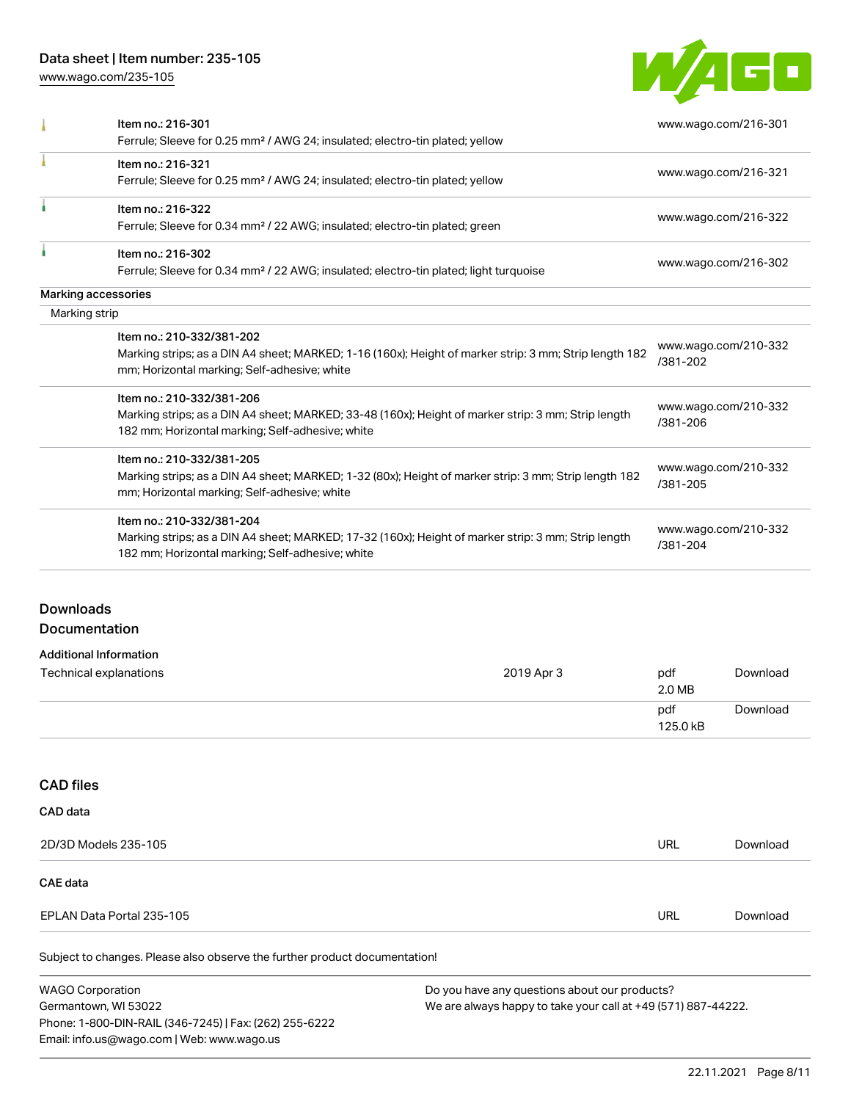### Data sheet | Item number: 235-105

[www.wago.com/235-105](http://www.wago.com/235-105)



|                  | Item no.: 216-301                                                                                      |             | www.wago.com/216-301 |  |
|------------------|--------------------------------------------------------------------------------------------------------|-------------|----------------------|--|
|                  | Ferrule; Sleeve for 0.25 mm <sup>2</sup> / AWG 24; insulated; electro-tin plated; yellow               |             |                      |  |
|                  | Item no.: 216-321                                                                                      |             |                      |  |
|                  | Ferrule; Sleeve for 0.25 mm <sup>2</sup> / AWG 24; insulated; electro-tin plated; yellow               |             | www.wago.com/216-321 |  |
|                  | Item no.: 216-322                                                                                      |             |                      |  |
|                  | Ferrule; Sleeve for 0.34 mm <sup>2</sup> / 22 AWG; insulated; electro-tin plated; green                |             | www.wago.com/216-322 |  |
|                  | Item no.: 216-302                                                                                      |             |                      |  |
|                  | Ferrule; Sleeve for 0.34 mm <sup>2</sup> / 22 AWG; insulated; electro-tin plated; light turquoise      |             | www.wago.com/216-302 |  |
|                  | Marking accessories                                                                                    |             |                      |  |
| Marking strip    |                                                                                                        |             |                      |  |
|                  | Item no.: 210-332/381-202                                                                              |             | www.wago.com/210-332 |  |
|                  | Marking strips; as a DIN A4 sheet; MARKED; 1-16 (160x); Height of marker strip: 3 mm; Strip length 182 |             | /381-202             |  |
|                  | mm; Horizontal marking; Self-adhesive; white                                                           |             |                      |  |
|                  | Item no.: 210-332/381-206                                                                              |             |                      |  |
|                  | Marking strips; as a DIN A4 sheet; MARKED; 33-48 (160x); Height of marker strip: 3 mm; Strip length    |             | www.wago.com/210-332 |  |
|                  | 182 mm; Horizontal marking; Self-adhesive; white                                                       |             | /381-206             |  |
|                  | Item no.: 210-332/381-205                                                                              |             |                      |  |
|                  | Marking strips; as a DIN A4 sheet; MARKED; 1-32 (80x); Height of marker strip: 3 mm; Strip length 182  |             | www.wago.com/210-332 |  |
|                  | mm; Horizontal marking; Self-adhesive; white                                                           |             | /381-205             |  |
|                  | Item no.: 210-332/381-204                                                                              |             |                      |  |
|                  | Marking strips; as a DIN A4 sheet; MARKED; 17-32 (160x); Height of marker strip: 3 mm; Strip length    |             | www.wago.com/210-332 |  |
|                  | 182 mm; Horizontal marking; Self-adhesive; white                                                       |             | /381-204             |  |
|                  |                                                                                                        |             |                      |  |
| <b>Downloads</b> |                                                                                                        |             |                      |  |
|                  |                                                                                                        |             |                      |  |
|                  | <b>Documentation</b>                                                                                   |             |                      |  |
|                  | <b>Additional Information</b>                                                                          |             |                      |  |
|                  |                                                                                                        | $0010A - 1$ |                      |  |

| Technical explanations | 2019 Apr 3 | pdf<br>2.0 MB   | Download |
|------------------------|------------|-----------------|----------|
|                        |            | pdf<br>125.0 kB | Download |

### CAD files

| CAD data                  |     |          |
|---------------------------|-----|----------|
| 2D/3D Models 235-105      | URL | Download |
| CAE data                  |     |          |
| EPLAN Data Portal 235-105 | URL | Download |
|                           |     |          |

Subject to changes. Please also observe the further product documentation!

WAGO Corporation Germantown, WI 53022 Phone: 1-800-DIN-RAIL (346-7245) | Fax: (262) 255-6222 Email: info.us@wago.com | Web: www.wago.us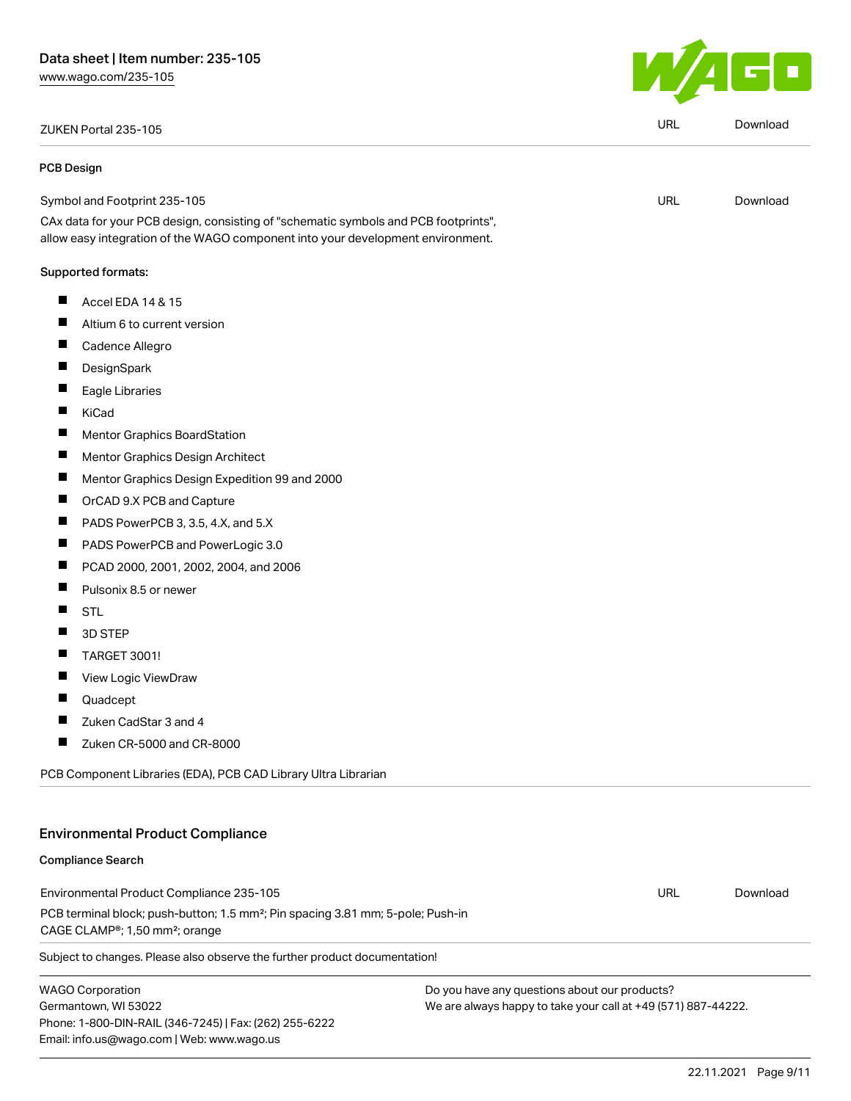# ZUKEN Portal 235-105 URL [Download](https://www.wago.com/global/d/Zuken_URLS_235-105)

#### PCB Design

Symbol and Footprint 235-105

CAx data for your PCB design, consisting of "schematic symbols and PCB footprints", allow easy integration of the WAGO component into your development environment.

#### Supported formats:

- $\blacksquare$ Accel EDA 14 & 15
- $\blacksquare$ Altium 6 to current version
- $\blacksquare$ Cadence Allegro
- $\blacksquare$ **DesignSpark**
- $\blacksquare$ Eagle Libraries
- $\blacksquare$ KiCad
- $\blacksquare$ Mentor Graphics BoardStation
- $\blacksquare$ Mentor Graphics Design Architect
- $\blacksquare$ Mentor Graphics Design Expedition 99 and 2000
- $\blacksquare$ OrCAD 9.X PCB and Capture
- $\blacksquare$ PADS PowerPCB 3, 3.5, 4.X, and 5.X
- $\blacksquare$ PADS PowerPCB and PowerLogic 3.0
- $\blacksquare$ PCAD 2000, 2001, 2002, 2004, and 2006
- $\blacksquare$ Pulsonix 8.5 or newer
- $\blacksquare$ STL
- 3D STEP  $\blacksquare$
- $\blacksquare$ TARGET 3001!
- П View Logic ViewDraw
- П Quadcept
- $\blacksquare$ Zuken CadStar 3 and 4
- $\blacksquare$ Zuken CR-5000 and CR-8000

PCB Component Libraries (EDA), PCB CAD Library Ultra Librarian

### Environmental Product Compliance

#### Compliance Search

Environmental Product Compliance 235-105 PCB terminal block; push-button; 1.5 mm²; Pin spacing 3.81 mm; 5-pole; Push-in CAGE CLAMP®; 1,50 mm²; orange URL [Download](https://www.wago.com/global/d/ComplianceLinkMediaContainer_235-105)

Subject to changes. Please also observe the further product documentation!

WAGO Corporation Germantown, WI 53022 Phone: 1-800-DIN-RAIL (346-7245) | Fax: (262) 255-6222 Email: info.us@wago.com | Web: www.wago.us

Do you have any questions about our products? We are always happy to take your call at +49 (571) 887-44222.



URL [Download](https://www.wago.com/global/d/UltraLibrarian_URLS_235-105)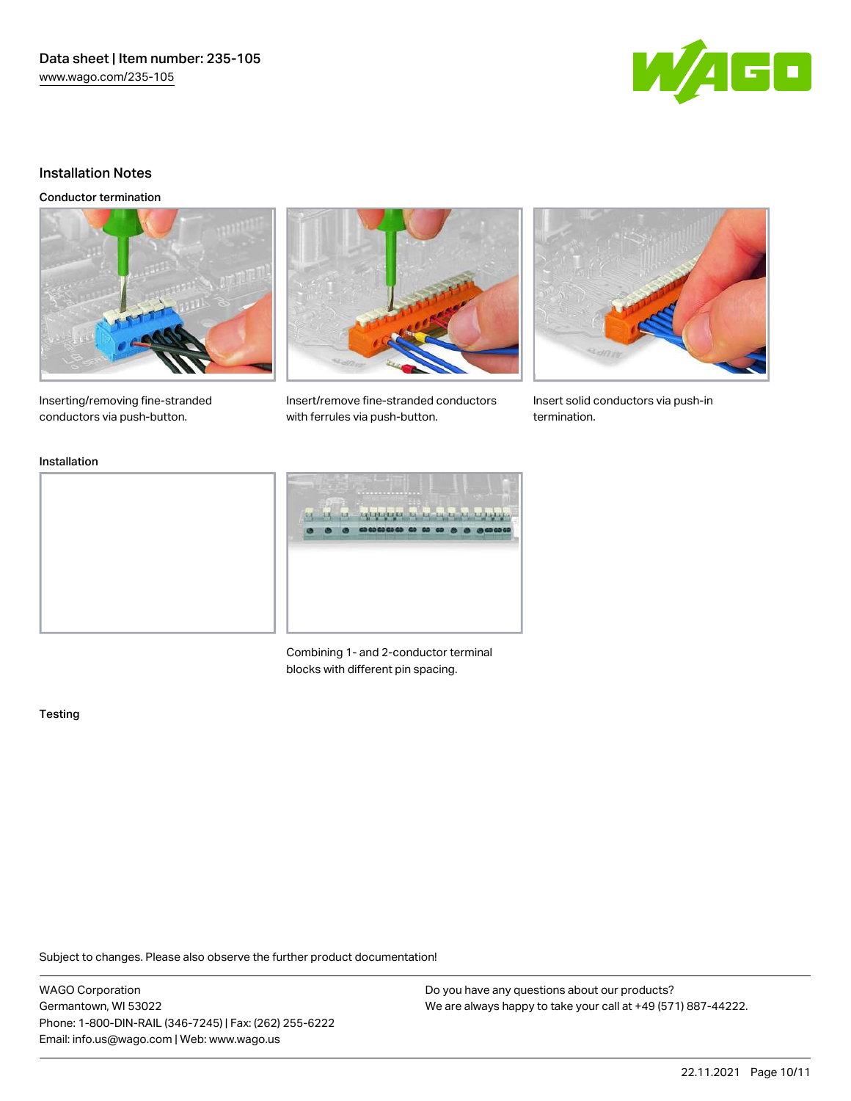Data sheet | Item number: 235-105 [www.wago.com/235-105](http://www.wago.com/235-105)



#### Installation Notes

Conductor termination





Inserting/removing fine-stranded conductors via push-button.

Insert/remove fine-stranded conductors with ferrules via push-button.



Insert solid conductors via push-in termination.

#### Installation



Combining 1- and 2-conductor terminal blocks with different pin spacing.

#### Testing

Subject to changes. Please also observe the further product documentation!

WAGO Corporation Germantown, WI 53022 Phone: 1-800-DIN-RAIL (346-7245) | Fax: (262) 255-6222 Email: info.us@wago.com | Web: www.wago.us